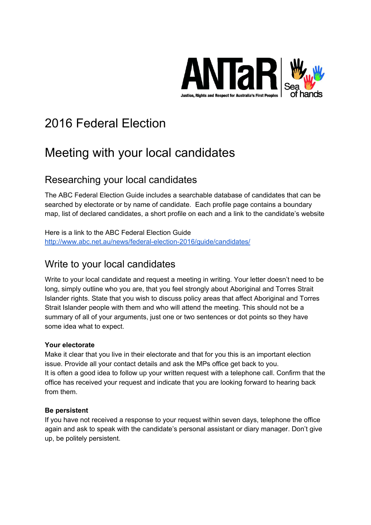

# 2016 Federal Election

## Meeting with your local candidates

### Researching your local candidates

The ABC Federal Election Guide includes a searchable database of candidates that can be searched by electorate or by name of candidate. Each profile page contains a boundary map, list of declared candidates, a short profile on each and a link to the candidate's website

Here is a link to the ABC Federal Election Guide http://www.abc.net.au/news/federal-election-2016/guide/candidates/

### Write to your local candidates

Write to your local candidate and request a meeting in writing. Your letter doesn't need to be long, simply outline who you are, that you feel strongly about Aboriginal and Torres Strait Islander rights. State that you wish to discuss policy areas that affect Aboriginal and Torres Strait Islander people with them and who will attend the meeting. This should not be a summary of all of your arguments, just one or two sentences or dot points so they have some idea what to expect.

#### **Your electorate**

Make it clear that you live in their electorate and that for you this is an important election issue. Provide all your contact details and ask the MPs office get back to you. It is often a good idea to follow up your written request with a telephone call. Confirm that the office has received your request and indicate that you are looking forward to hearing back from them.

#### **Be persistent**

If you have not received a response to your request within seven days, telephone the office again and ask to speak with the candidate's personal assistant or diary manager. Don't give up, be politely persistent.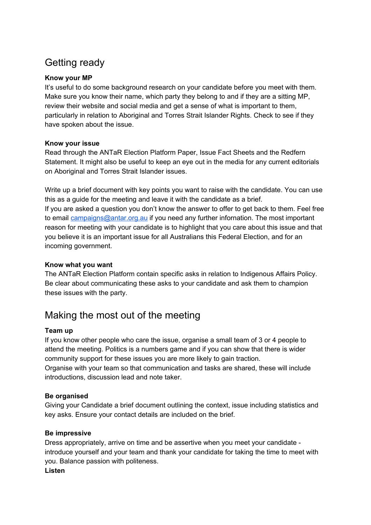## Getting ready

#### **Know your MP**

It's useful to do some background research on your candidate before you meet with them. Make sure you know their name, which party they belong to and if they are a sitting MP, review their website and social media and get a sense of what is important to them, particularly in relation to Aboriginal and Torres Strait Islander Rights. Check to see if they have spoken about the issue.

#### **Know your issue**

Read through the ANTaR Election Platform Paper, Issue Fact Sheets and the Redfern Statement. It might also be useful to keep an eye out in the media for any current editorials on Aboriginal and Torres Strait Islander issues.

Write up a brief document with key points you want to raise with the candidate. You can use this as a guide for the meeting and leave it with the candidate as a brief. If you are asked a question you don't know the answer to offer to get back to them. Feel free to email [campaigns@antar.org.au](mailto:campaigns@antar.org.au) if you need any further infornation. The most important reason for meeting with your candidate is to highlight that you care about this issue and that you believe it is an important issue for all Australians this Federal Election, and for an incoming government.

#### **Know what you want**

The ANTaR Election Platform contain specific asks in relation to Indigenous Affairs Policy. Be clear about communicating these asks to your candidate and ask them to champion these issues with the party.

### Making the most out of the meeting

#### **Team up**

If you know other people who care the issue, organise a small team of 3 or 4 people to attend the meeting. Politics is a numbers game and if you can show that there is wider community support for these issues you are more likely to gain traction.

Organise with your team so that communication and tasks are shared, these will include introductions, discussion lead and note taker.

#### **Be organised**

Giving your Candidate a brief document outlining the context, issue including statistics and key asks. Ensure your contact details are included on the brief.

#### **Be impressive**

Dress appropriately, arrive on time and be assertive when you meet your candidate introduce yourself and your team and thank your candidate for taking the time to meet with you. Balance passion with politeness.

#### **Listen**